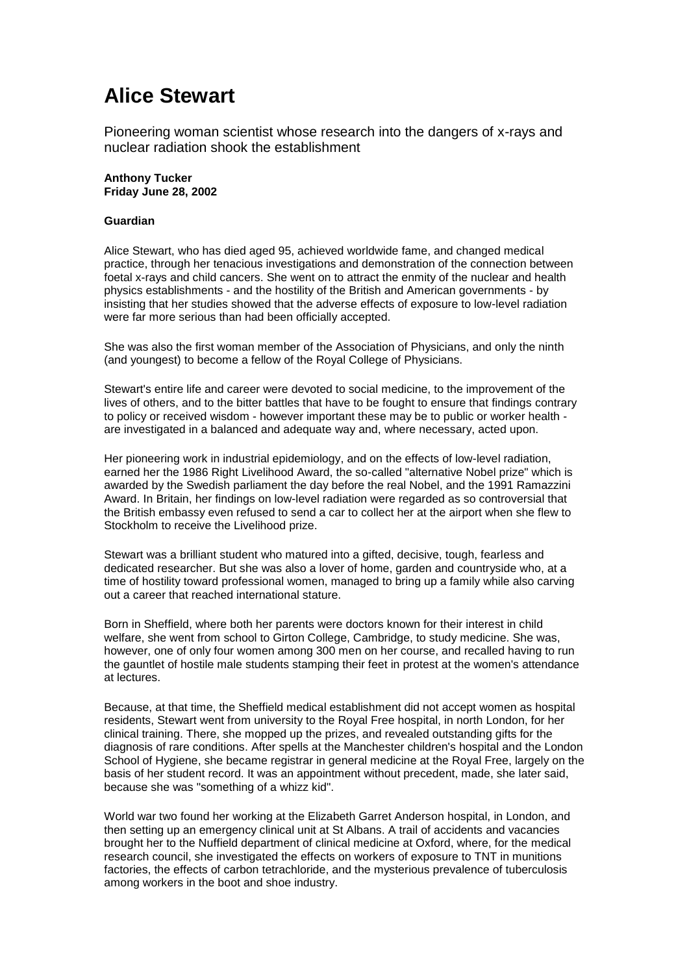## **Alice Stewart**

Pioneering woman scientist whose research into the dangers of x-rays and nuclear radiation shook the establishment

**Anthony Tucker Friday June 28, 2002**

## **Guardian**

Alice Stewart, who has died aged 95, achieved worldwide fame, and changed medical practice, through her tenacious investigations and demonstration of the connection between foetal x-rays and child cancers. She went on to attract the enmity of the nuclear and health physics establishments - and the hostility of the British and American governments - by insisting that her studies showed that the adverse effects of exposure to low-level radiation were far more serious than had been officially accepted.

She was also the first woman member of the Association of Physicians, and only the ninth (and youngest) to become a fellow of the Royal College of Physicians.

Stewart's entire life and career were devoted to social medicine, to the improvement of the lives of others, and to the bitter battles that have to be fought to ensure that findings contrary to policy or received wisdom - however important these may be to public or worker health are investigated in a balanced and adequate way and, where necessary, acted upon.

Her pioneering work in industrial epidemiology, and on the effects of low-level radiation, earned her the 1986 Right Livelihood Award, the so-called "alternative Nobel prize" which is awarded by the Swedish parliament the day before the real Nobel, and the 1991 Ramazzini Award. In Britain, her findings on low-level radiation were regarded as so controversial that the British embassy even refused to send a car to collect her at the airport when she flew to Stockholm to receive the Livelihood prize.

Stewart was a brilliant student who matured into a gifted, decisive, tough, fearless and dedicated researcher. But she was also a lover of home, garden and countryside who, at a time of hostility toward professional women, managed to bring up a family while also carving out a career that reached international stature.

Born in Sheffield, where both her parents were doctors known for their interest in child welfare, she went from school to Girton College, Cambridge, to study medicine. She was, however, one of only four women among 300 men on her course, and recalled having to run the gauntlet of hostile male students stamping their feet in protest at the women's attendance at lectures.

Because, at that time, the Sheffield medical establishment did not accept women as hospital residents, Stewart went from university to the Royal Free hospital, in north London, for her clinical training. There, she mopped up the prizes, and revealed outstanding gifts for the diagnosis of rare conditions. After spells at the Manchester children's hospital and the London School of Hygiene, she became registrar in general medicine at the Royal Free, largely on the basis of her student record. It was an appointment without precedent, made, she later said, because she was "something of a whizz kid".

World war two found her working at the Elizabeth Garret Anderson hospital, in London, and then setting up an emergency clinical unit at St Albans. A trail of accidents and vacancies brought her to the Nuffield department of clinical medicine at Oxford, where, for the medical research council, she investigated the effects on workers of exposure to TNT in munitions factories, the effects of carbon tetrachloride, and the mysterious prevalence of tuberculosis among workers in the boot and shoe industry.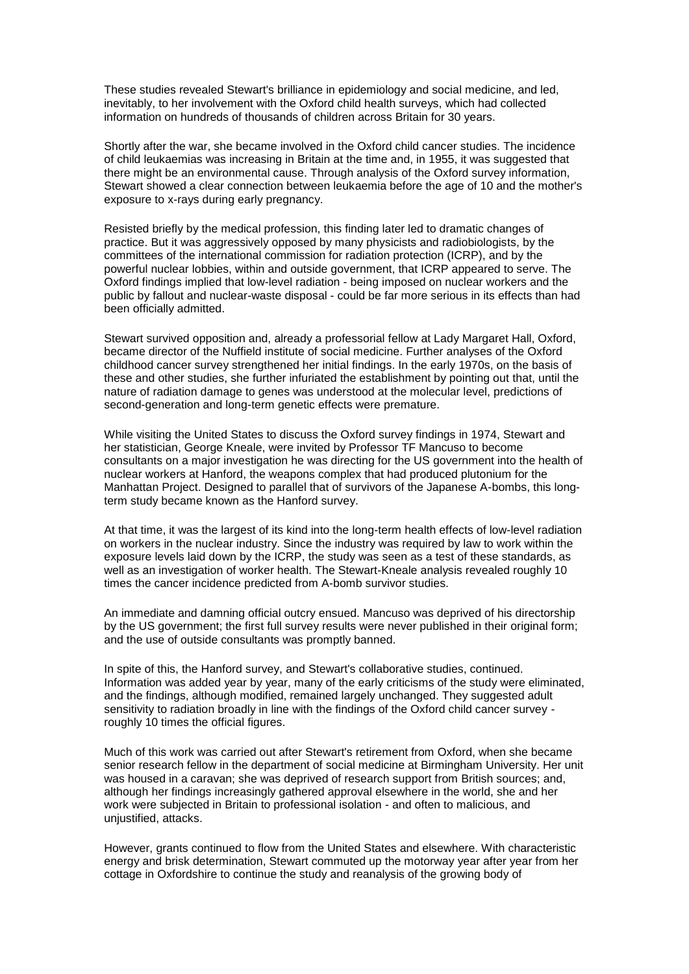These studies revealed Stewart's brilliance in epidemiology and social medicine, and led, inevitably, to her involvement with the Oxford child health surveys, which had collected information on hundreds of thousands of children across Britain for 30 years.

Shortly after the war, she became involved in the Oxford child cancer studies. The incidence of child leukaemias was increasing in Britain at the time and, in 1955, it was suggested that there might be an environmental cause. Through analysis of the Oxford survey information, Stewart showed a clear connection between leukaemia before the age of 10 and the mother's exposure to x-rays during early pregnancy.

Resisted briefly by the medical profession, this finding later led to dramatic changes of practice. But it was aggressively opposed by many physicists and radiobiologists, by the committees of the international commission for radiation protection (ICRP), and by the powerful nuclear lobbies, within and outside government, that ICRP appeared to serve. The Oxford findings implied that low-level radiation - being imposed on nuclear workers and the public by fallout and nuclear-waste disposal - could be far more serious in its effects than had been officially admitted.

Stewart survived opposition and, already a professorial fellow at Lady Margaret Hall, Oxford, became director of the Nuffield institute of social medicine. Further analyses of the Oxford childhood cancer survey strengthened her initial findings. In the early 1970s, on the basis of these and other studies, she further infuriated the establishment by pointing out that, until the nature of radiation damage to genes was understood at the molecular level, predictions of second-generation and long-term genetic effects were premature.

While visiting the United States to discuss the Oxford survey findings in 1974, Stewart and her statistician, George Kneale, were invited by Professor TF Mancuso to become consultants on a major investigation he was directing for the US government into the health of nuclear workers at Hanford, the weapons complex that had produced plutonium for the Manhattan Project. Designed to parallel that of survivors of the Japanese A-bombs, this longterm study became known as the Hanford survey.

At that time, it was the largest of its kind into the long-term health effects of low-level radiation on workers in the nuclear industry. Since the industry was required by law to work within the exposure levels laid down by the ICRP, the study was seen as a test of these standards, as well as an investigation of worker health. The Stewart-Kneale analysis revealed roughly 10 times the cancer incidence predicted from A-bomb survivor studies.

An immediate and damning official outcry ensued. Mancuso was deprived of his directorship by the US government; the first full survey results were never published in their original form; and the use of outside consultants was promptly banned.

In spite of this, the Hanford survey, and Stewart's collaborative studies, continued. Information was added year by year, many of the early criticisms of the study were eliminated, and the findings, although modified, remained largely unchanged. They suggested adult sensitivity to radiation broadly in line with the findings of the Oxford child cancer survey roughly 10 times the official figures.

Much of this work was carried out after Stewart's retirement from Oxford, when she became senior research fellow in the department of social medicine at Birmingham University. Her unit was housed in a caravan; she was deprived of research support from British sources; and, although her findings increasingly gathered approval elsewhere in the world, she and her work were subjected in Britain to professional isolation - and often to malicious, and unjustified, attacks.

However, grants continued to flow from the United States and elsewhere. With characteristic energy and brisk determination, Stewart commuted up the motorway year after year from her cottage in Oxfordshire to continue the study and reanalysis of the growing body of